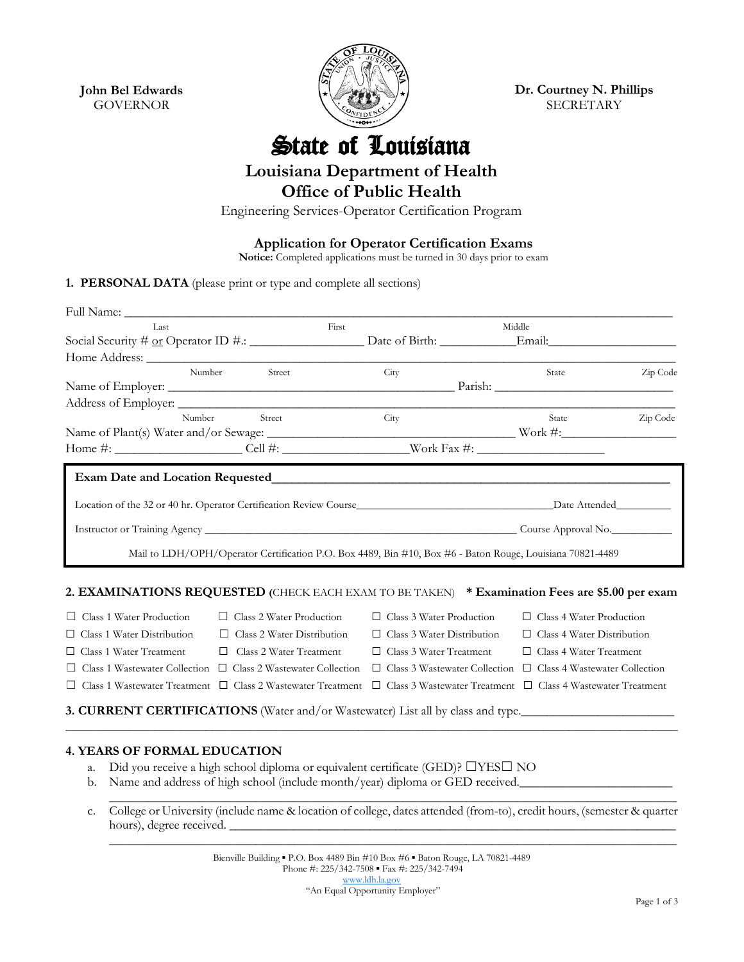**John Bel Edwards** GOVERNOR



**Dr. Courtney N. Phillips** SECRETARY

State of Louisiana

## **Louisiana Department of Health**

**Office of Public Health**

Engineering Services-Operator Certification Program

**Application for Operator Certification Exams**

**Notice:** Completed applications must be turned in 30 days prior to exam

**1. PERSONAL DATA** (please print or type and complete all sections)

| Last                                                                                           |                                   | First                                                                                                     | Middle                                                                  |                                                                           |          |
|------------------------------------------------------------------------------------------------|-----------------------------------|-----------------------------------------------------------------------------------------------------------|-------------------------------------------------------------------------|---------------------------------------------------------------------------|----------|
|                                                                                                |                                   |                                                                                                           |                                                                         |                                                                           |          |
|                                                                                                |                                   |                                                                                                           |                                                                         |                                                                           |          |
| Number                                                                                         | Street                            | City                                                                                                      |                                                                         | State                                                                     | Zip Code |
|                                                                                                |                                   |                                                                                                           |                                                                         |                                                                           |          |
|                                                                                                |                                   |                                                                                                           |                                                                         |                                                                           |          |
| Number                                                                                         | Street                            | City                                                                                                      |                                                                         | State                                                                     | Zip Code |
|                                                                                                |                                   |                                                                                                           |                                                                         |                                                                           |          |
|                                                                                                |                                   |                                                                                                           |                                                                         |                                                                           |          |
|                                                                                                |                                   | Mail to LDH/OPH/Operator Certification P.O. Box 4489, Bin #10, Box #6 - Baton Rouge, Louisiana 70821-4489 |                                                                         |                                                                           |          |
| 2. EXAMINATIONS REQUESTED (CHECK EACH EXAM TO BE TAKEN) * Examination Fees are \$5.00 per exam |                                   |                                                                                                           |                                                                         |                                                                           |          |
| $\Box$ Class 1 Water Production                                                                | $\Box$ Class 2 Water Production   |                                                                                                           | $\Box$ Class 3 Water Production                                         | $\Box$ Class 4 Water Production                                           |          |
| $\Box$ Class 1 Water Distribution                                                              | $\Box$ Class 2 Water Distribution |                                                                                                           | $\Box$ Class 3 Water Distribution                                       | $\Box$ Class 4 Water Distribution                                         |          |
| Class 1 Water Treatment<br>ப                                                                   | $\Box$ Class 2 Water Treatment    |                                                                                                           | $\Box$ Class 3 Water Treatment                                          | $\Box$ Class 4 Water Treatment                                            |          |
| Class 1 Wastewater Collection $\Box$ Class 2 Wastewater Collection                             |                                   |                                                                                                           |                                                                         | $\Box$ Class 3 Wastewater Collection $\Box$ Class 4 Wastewater Collection |          |
| Class 1 Wastewater Treatment $\Box$ Class 2 Wastewater Treatment                               |                                   |                                                                                                           | $\Box$ Class 3 Wastewater Treatment $\Box$ Class 4 Wastewater Treatment |                                                                           |          |
| <b>3. CURRENT CERTIFICATIONS</b> (Water and/or Wastewater) List all by class and type.         |                                   |                                                                                                           |                                                                         |                                                                           |          |

## **4. YEARS OF FORMAL EDUCATION**

- a. Did you receive a high school diploma or equivalent certificate (GED)? ☐YES☐ NO
- b. Name and address of high school (include month/year) diploma or GED received.
- c. College or University (include name & location of college, dates attended (from-to), credit hours, (semester & quarter hours), degree received.

\_\_\_\_\_\_\_\_\_\_\_\_\_\_\_\_\_\_\_\_\_\_\_\_\_\_\_\_\_\_\_\_\_\_\_\_\_\_\_\_\_\_\_\_\_\_\_\_\_\_\_\_\_\_\_\_\_\_\_\_\_\_\_\_\_\_\_\_\_\_\_\_\_\_\_\_\_\_\_\_\_\_\_\_\_\_\_\_\_

 $\mathcal{L}_\mathcal{L} = \{ \mathcal{L}_\mathcal{L} = \{ \mathcal{L}_\mathcal{L} = \{ \mathcal{L}_\mathcal{L} = \{ \mathcal{L}_\mathcal{L} = \{ \mathcal{L}_\mathcal{L} = \{ \mathcal{L}_\mathcal{L} = \{ \mathcal{L}_\mathcal{L} = \{ \mathcal{L}_\mathcal{L} = \{ \mathcal{L}_\mathcal{L} = \{ \mathcal{L}_\mathcal{L} = \{ \mathcal{L}_\mathcal{L} = \{ \mathcal{L}_\mathcal{L} = \{ \mathcal{L}_\mathcal{L} = \{ \mathcal{L}_\mathcal{$ 

 $\mathcal{L}_\mathcal{L} = \{ \mathcal{L}_\mathcal{L} = \{ \mathcal{L}_\mathcal{L} = \{ \mathcal{L}_\mathcal{L} = \{ \mathcal{L}_\mathcal{L} = \{ \mathcal{L}_\mathcal{L} = \{ \mathcal{L}_\mathcal{L} = \{ \mathcal{L}_\mathcal{L} = \{ \mathcal{L}_\mathcal{L} = \{ \mathcal{L}_\mathcal{L} = \{ \mathcal{L}_\mathcal{L} = \{ \mathcal{L}_\mathcal{L} = \{ \mathcal{L}_\mathcal{L} = \{ \mathcal{L}_\mathcal{L} = \{ \mathcal{L}_\mathcal{$ 

Bienville Building ▪ P.O. Box 4489 Bin #10 Box #6 ▪ Baton Rouge, LA 70821-4489 Phone #: 225/342-7508 · Fax #: 225/342-7494 [www.ldh.la.gov](http://www.ldh.la.gov/) "An Equal Opportunity Employer"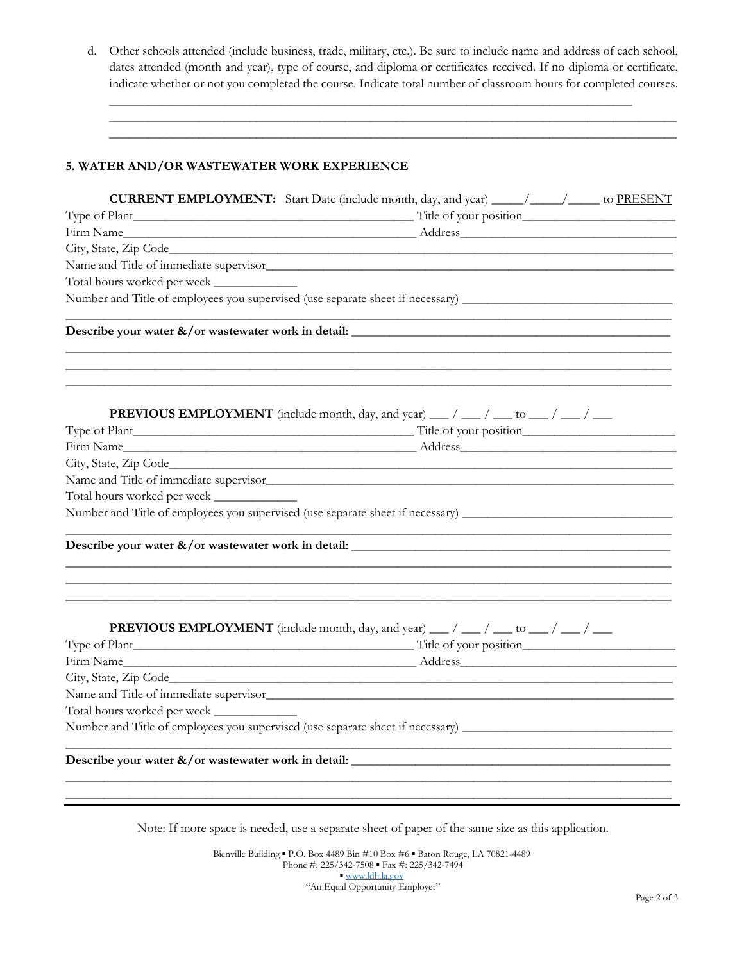d. Other schools attended (include business, trade, military, etc.). Be sure to include name and address of each school, dates attended (month and year), type of course, and diploma or certificates received. If no diploma or certificate, indicate whether or not you completed the course. Indicate total number of classroom hours for completed courses.

 $\mathcal{L}_\mathcal{L} = \{ \mathcal{L}_\mathcal{L} = \{ \mathcal{L}_\mathcal{L} = \{ \mathcal{L}_\mathcal{L} = \{ \mathcal{L}_\mathcal{L} = \{ \mathcal{L}_\mathcal{L} = \{ \mathcal{L}_\mathcal{L} = \{ \mathcal{L}_\mathcal{L} = \{ \mathcal{L}_\mathcal{L} = \{ \mathcal{L}_\mathcal{L} = \{ \mathcal{L}_\mathcal{L} = \{ \mathcal{L}_\mathcal{L} = \{ \mathcal{L}_\mathcal{L} = \{ \mathcal{L}_\mathcal{L} = \{ \mathcal{L}_\mathcal{$  $\mathcal{L}_\mathcal{L} = \{ \mathcal{L}_\mathcal{L} = \{ \mathcal{L}_\mathcal{L} = \{ \mathcal{L}_\mathcal{L} = \{ \mathcal{L}_\mathcal{L} = \{ \mathcal{L}_\mathcal{L} = \{ \mathcal{L}_\mathcal{L} = \{ \mathcal{L}_\mathcal{L} = \{ \mathcal{L}_\mathcal{L} = \{ \mathcal{L}_\mathcal{L} = \{ \mathcal{L}_\mathcal{L} = \{ \mathcal{L}_\mathcal{L} = \{ \mathcal{L}_\mathcal{L} = \{ \mathcal{L}_\mathcal{L} = \{ \mathcal{L}_\mathcal{$ 

 $\Box$ 

## **5. WATER AND/OR WASTEWATER WORK EXPERIENCE**

|                             | <b>CURRENT EMPLOYMENT:</b> Start Date (include month, day, and year) _____/ _____/ to PRESENT |  |  |  |  |
|-----------------------------|-----------------------------------------------------------------------------------------------|--|--|--|--|
|                             |                                                                                               |  |  |  |  |
|                             |                                                                                               |  |  |  |  |
|                             |                                                                                               |  |  |  |  |
|                             | Name and Title of immediate supervisor.                                                       |  |  |  |  |
| Total hours worked per week |                                                                                               |  |  |  |  |
|                             |                                                                                               |  |  |  |  |
|                             |                                                                                               |  |  |  |  |
|                             | <b>PREVIOUS EMPLOYMENT</b> (include month, day, and year) ___ / ___ / ___ to ___ / ___ /      |  |  |  |  |
|                             |                                                                                               |  |  |  |  |
|                             |                                                                                               |  |  |  |  |
|                             |                                                                                               |  |  |  |  |
|                             | Name and Title of immediate supervisor                                                        |  |  |  |  |
| Total hours worked per week |                                                                                               |  |  |  |  |
|                             |                                                                                               |  |  |  |  |
|                             |                                                                                               |  |  |  |  |
|                             |                                                                                               |  |  |  |  |
|                             | <b>PREVIOUS EMPLOYMENT</b> (include month, day, and year) ___ / ___ / ___ to ___ / ___ /      |  |  |  |  |
|                             |                                                                                               |  |  |  |  |
|                             |                                                                                               |  |  |  |  |
|                             |                                                                                               |  |  |  |  |
| Total hours worked per week |                                                                                               |  |  |  |  |
|                             |                                                                                               |  |  |  |  |
|                             |                                                                                               |  |  |  |  |
|                             |                                                                                               |  |  |  |  |

Note: If more space is needed, use a separate sheet of paper of the same size as this application.

Bienville Building ▪ P.O. Box 4489 Bin #10 Box #6 ▪ Baton Rouge, LA 70821-4489 Phone #: 225/342-7508 · Fax #: 225/342-7494 ▪ [www.ldh.la.gov](http://www.ldh.la.gov/) "An Equal Opportunity Employer"